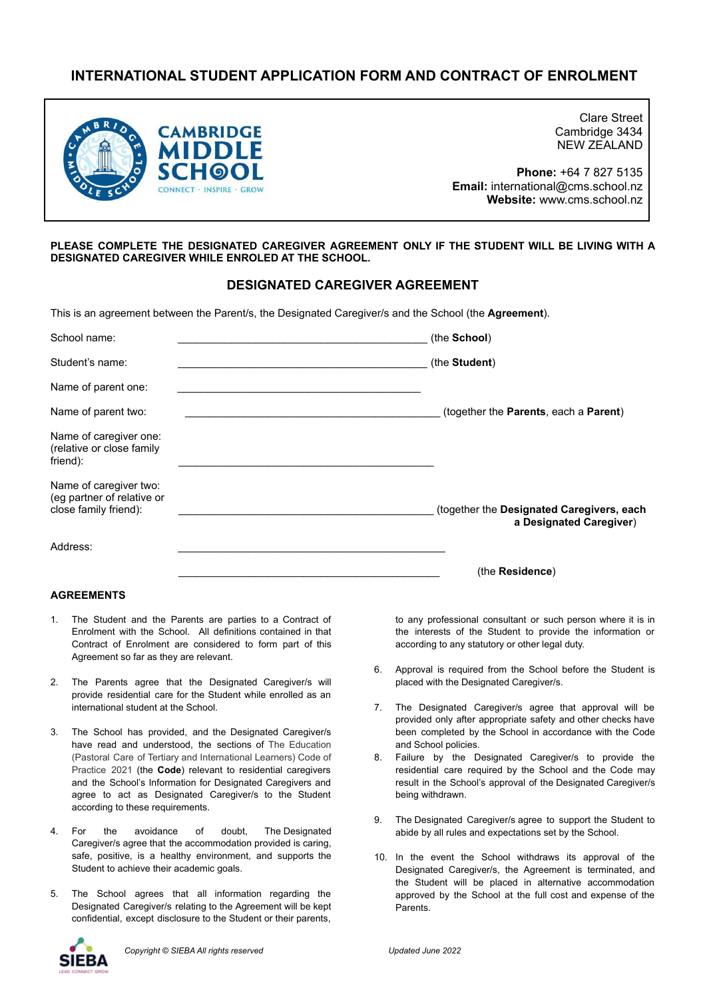# **INTERNATIONAL STUDENT APPLICATION FORM AND CONTRACT OF ENROLMENT**



Clare Street Cambridge 3434 NEW ZEALAND

**Phone:** +64 7 827 5135 **Email:** international@cms.school.nz **Website:** www.cms.school.nz

#### **PLEASE COMPLETE THE DESIGNATED CAREGIVER AGREEMENT ONLY IF THE STUDENT WILL BE LIVING WITH A DESIGNATED CAREGIVER WHILE ENROLED AT THE SCHOOL.**

## **DESIGNATED CAREGIVER AGREEMENT**

This is an agreement between the Parent/s, the Designated Caregiver/s and the School (the **Agreement**).

| School name:                                                                  | (the School)                                                         |
|-------------------------------------------------------------------------------|----------------------------------------------------------------------|
| Student's name:                                                               | (the Student)                                                        |
| Name of parent one:                                                           |                                                                      |
| Name of parent two:                                                           | (together the Parents, each a Parent)                                |
| Name of caregiver one:<br>(relative or close family<br>friend):               |                                                                      |
| Name of caregiver two:<br>(eg partner of relative or<br>close family friend): | (together the Designated Caregivers, each<br>a Designated Caregiver) |
| Address:                                                                      |                                                                      |
|                                                                               | (the <b>Residence</b> )                                              |

#### **AGREEMENTS**

- 1. The Student and the Parents are parties to a Contract of Enrolment with the School. All definitions contained in that Contract of Enrolment are considered to form part of this Agreement so far as they are relevant.
- 2. The Parents agree that the Designated Caregiver/s will provide residential care for the Student while enrolled as an international student at the School.
- 3. The School has provided, and the Designated Caregiver/s have read and understood, the sections of The Education (Pastoral Care of Tertiary and International Learners) Code of Practice 2021 (the **Code**) relevant to residential caregivers and the School's Information for Designated Caregivers and agree to act as Designated Caregiver/s to the Student according to these requirements.
- 4. For the avoidance of doubt, The Designated Caregiver/s agree that the accommodation provided is caring, safe, positive, is a healthy environment, and supports the Student to achieve their academic goals.
- 5. The School agrees that all information regarding the Designated Caregiver/s relating to the Agreement will be kept confidential, except disclosure to the Student or their parents,

to any professional consultant or such person where it is in the interests of the Student to provide the information or according to any statutory or other legal duty.

- 6. Approval is required from the School before the Student is placed with the Designated Caregiver/s.
- 7. The Designated Caregiver/s agree that approval will be provided only after appropriate safety and other checks have been completed by the School in accordance with the Code and School policies.
- 8. Failure by the Designated Caregiver/s to provide the residential care required by the School and the Code may result in the School's approval of the Designated Caregiver/s being withdrawn.
- 9. The Designated Caregiver/s agree to support the Student to abide by all rules and expectations set by the School.
- 10. In the event the School withdraws its approval of the Designated Caregiver/s, the Agreement is terminated, and the Student will be placed in alternative accommodation approved by the School at the full cost and expense of the Parents.